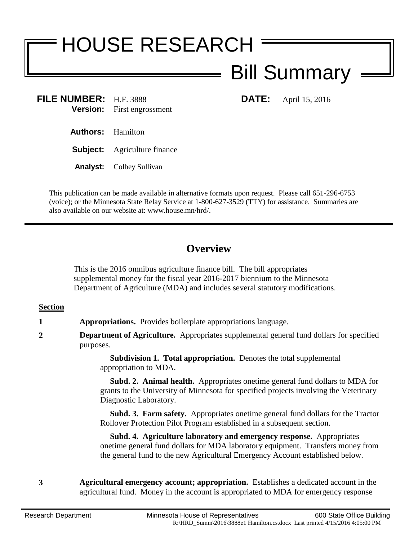# HOUSE RESEARCH

## Bill Summary

**FILE NUMBER:** H.F. 3888 **DATE:** April 15, 2016 **Version:** First engrossment

- **Authors:** Hamilton
- **Subject:** Agriculture finance
- **Analyst:** Colbey Sullivan

This publication can be made available in alternative formats upon request. Please call 651-296-6753 (voice); or the Minnesota State Relay Service at 1-800-627-3529 (TTY) for assistance. Summaries are also available on our website at: www.house.mn/hrd/.

### **Overview**

This is the 2016 omnibus agriculture finance bill. The bill appropriates supplemental money for the fiscal year 2016-2017 biennium to the Minnesota Department of Agriculture (MDA) and includes several statutory modifications.

#### **Section**

- **1 Appropriations.** Provides boilerplate appropriations language.
- **2 Department of Agriculture.** Appropriates supplemental general fund dollars for specified purposes.

**Subdivision 1. Total appropriation.** Denotes the total supplemental appropriation to MDA.

 **Subd. 2. Animal health.** Appropriates onetime general fund dollars to MDA for grants to the University of Minnesota for specified projects involving the Veterinary Diagnostic Laboratory.

 **Subd. 3. Farm safety.** Appropriates onetime general fund dollars for the Tractor Rollover Protection Pilot Program established in a subsequent section.

 **Subd. 4. Agriculture laboratory and emergency response.** Appropriates onetime general fund dollars for MDA laboratory equipment. Transfers money from the general fund to the new Agricultural Emergency Account established below.

**3 Agricultural emergency account; appropriation.** Establishes a dedicated account in the agricultural fund. Money in the account is appropriated to MDA for emergency response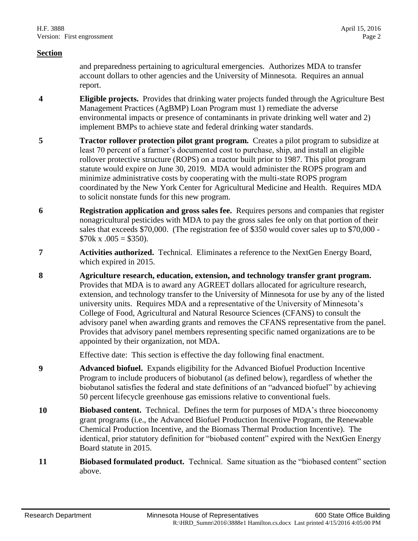#### **Section**

and preparedness pertaining to agricultural emergencies. Authorizes MDA to transfer account dollars to other agencies and the University of Minnesota. Requires an annual report.

- **4 Eligible projects.** Provides that drinking water projects funded through the Agriculture Best Management Practices (AgBMP) Loan Program must 1) remediate the adverse environmental impacts or presence of contaminants in private drinking well water and 2) implement BMPs to achieve state and federal drinking water standards.
- **5 Tractor rollover protection pilot grant program.** Creates a pilot program to subsidize at least 70 percent of a farmer's documented cost to purchase, ship, and install an eligible rollover protective structure (ROPS) on a tractor built prior to 1987. This pilot program statute would expire on June 30, 2019. MDA would administer the ROPS program and minimize administrative costs by cooperating with the multi-state ROPS program coordinated by the New York Center for Agricultural Medicine and Health. Requires MDA to solicit nonstate funds for this new program.
- **6 Registration application and gross sales fee.** Requires persons and companies that register nonagricultural pesticides with MDA to pay the gross sales fee only on that portion of their sales that exceeds \$70,000. (The registration fee of \$350 would cover sales up to \$70,000 -  $$70k \times .005 = $350$ .
- **7 Activities authorized.** Technical. Eliminates a reference to the NextGen Energy Board, which expired in 2015.
- **8 Agriculture research, education, extension, and technology transfer grant program.**  Provides that MDA is to award any AGREET dollars allocated for agriculture research, extension, and technology transfer to the University of Minnesota for use by any of the listed university units. Requires MDA and a representative of the University of Minnesota's College of Food, Agricultural and Natural Resource Sciences (CFANS) to consult the advisory panel when awarding grants and removes the CFANS representative from the panel. Provides that advisory panel members representing specific named organizations are to be appointed by their organization, not MDA.

Effective date: This section is effective the day following final enactment.

- **9 Advanced biofuel.** Expands eligibility for the Advanced Biofuel Production Incentive Program to include producers of biobutanol (as defined below), regardless of whether the biobutanol satisfies the federal and state definitions of an "advanced biofuel" by achieving 50 percent lifecycle greenhouse gas emissions relative to conventional fuels.
- **10 Biobased content.** Technical. Defines the term for purposes of MDA's three bioeconomy grant programs (i.e., the Advanced Biofuel Production Incentive Program, the Renewable Chemical Production Incentive, and the Biomass Thermal Production Incentive). The identical, prior statutory definition for "biobased content" expired with the NextGen Energy Board statute in 2015.
- **11 Biobased formulated product.** Technical. Same situation as the "biobased content" section above.